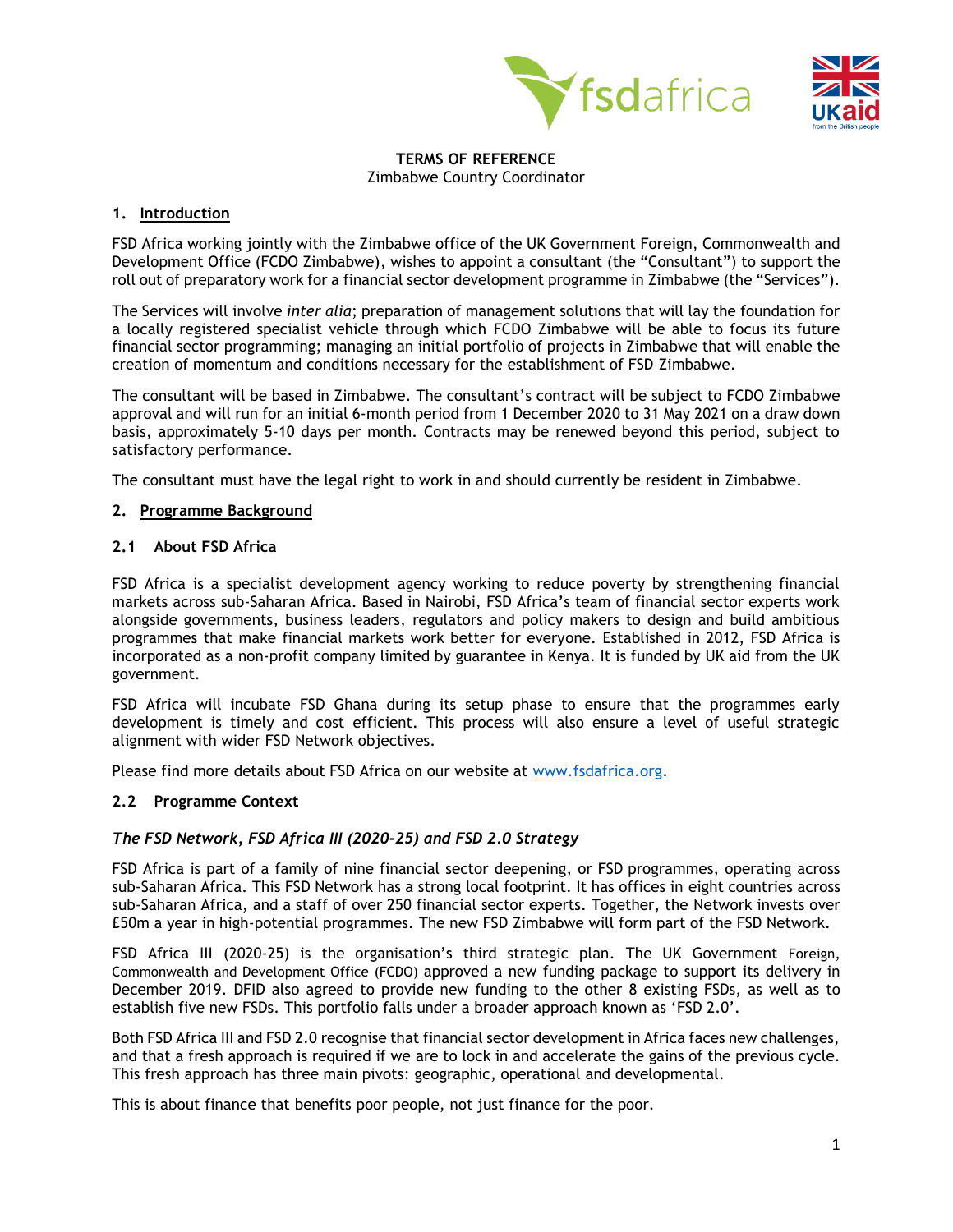



#### **TERMS OF REFERENCE** Zimbabwe Country Coordinator

## **1. Introduction**

FSD Africa working jointly with the Zimbabwe office of the UK Government Foreign, Commonwealth and Development Office (FCDO Zimbabwe), wishes to appoint a consultant (the "Consultant") to support the roll out of preparatory work for a financial sector development programme in Zimbabwe (the "Services").

The Services will involve *inter alia*; preparation of management solutions that will lay the foundation for a locally registered specialist vehicle through which FCDO Zimbabwe will be able to focus its future financial sector programming; managing an initial portfolio of projects in Zimbabwe that will enable the creation of momentum and conditions necessary for the establishment of FSD Zimbabwe.

The consultant will be based in Zimbabwe. The consultant's contract will be subject to FCDO Zimbabwe approval and will run for an initial 6-month period from 1 December 2020 to 31 May 2021 on a draw down basis, approximately 5-10 days per month. Contracts may be renewed beyond this period, subject to satisfactory performance.

The consultant must have the legal right to work in and should currently be resident in Zimbabwe.

## **2. Programme Background**

## **2.1 About FSD Africa**

FSD Africa is a specialist development agency working to reduce poverty by strengthening financial markets across sub-Saharan Africa. Based in Nairobi, FSD Africa's team of financial sector experts work alongside governments, business leaders, regulators and policy makers to design and build ambitious programmes that make financial markets work better for everyone. Established in 2012, FSD Africa is incorporated as a non-profit company limited by guarantee in Kenya. It is funded by UK aid from the UK government.

FSD Africa will incubate FSD Ghana during its setup phase to ensure that the programmes early development is timely and cost efficient. This process will also ensure a level of useful strategic alignment with wider FSD Network objectives.

Please find more details about FSD Africa on our website at [www.fsdafrica.org.](http://www.fsdafrica.org/)

#### **2.2 Programme Context**

#### *The FSD Network, FSD Africa III (2020-25) and FSD 2.0 Strategy*

FSD Africa is part of a family of nine financial sector deepening, or FSD programmes, operating across sub-Saharan Africa. This FSD Network has a strong local footprint. It has offices in eight countries across sub-Saharan Africa, and a staff of over 250 financial sector experts. Together, the Network invests over £50m a year in high-potential programmes. The new FSD Zimbabwe will form part of the FSD Network.

FSD Africa III (2020-25) is the organisation's third strategic plan. The UK Government Foreign, Commonwealth and Development Office (FCDO) approved a new funding package to support its delivery in December 2019. DFID also agreed to provide new funding to the other 8 existing FSDs, as well as to establish five new FSDs. This portfolio falls under a broader approach known as 'FSD 2.0'.

Both FSD Africa III and FSD 2.0 recognise that financial sector development in Africa faces new challenges, and that a fresh approach is required if we are to lock in and accelerate the gains of the previous cycle. This fresh approach has three main pivots: geographic, operational and developmental.

This is about finance that benefits poor people, not just finance for the poor.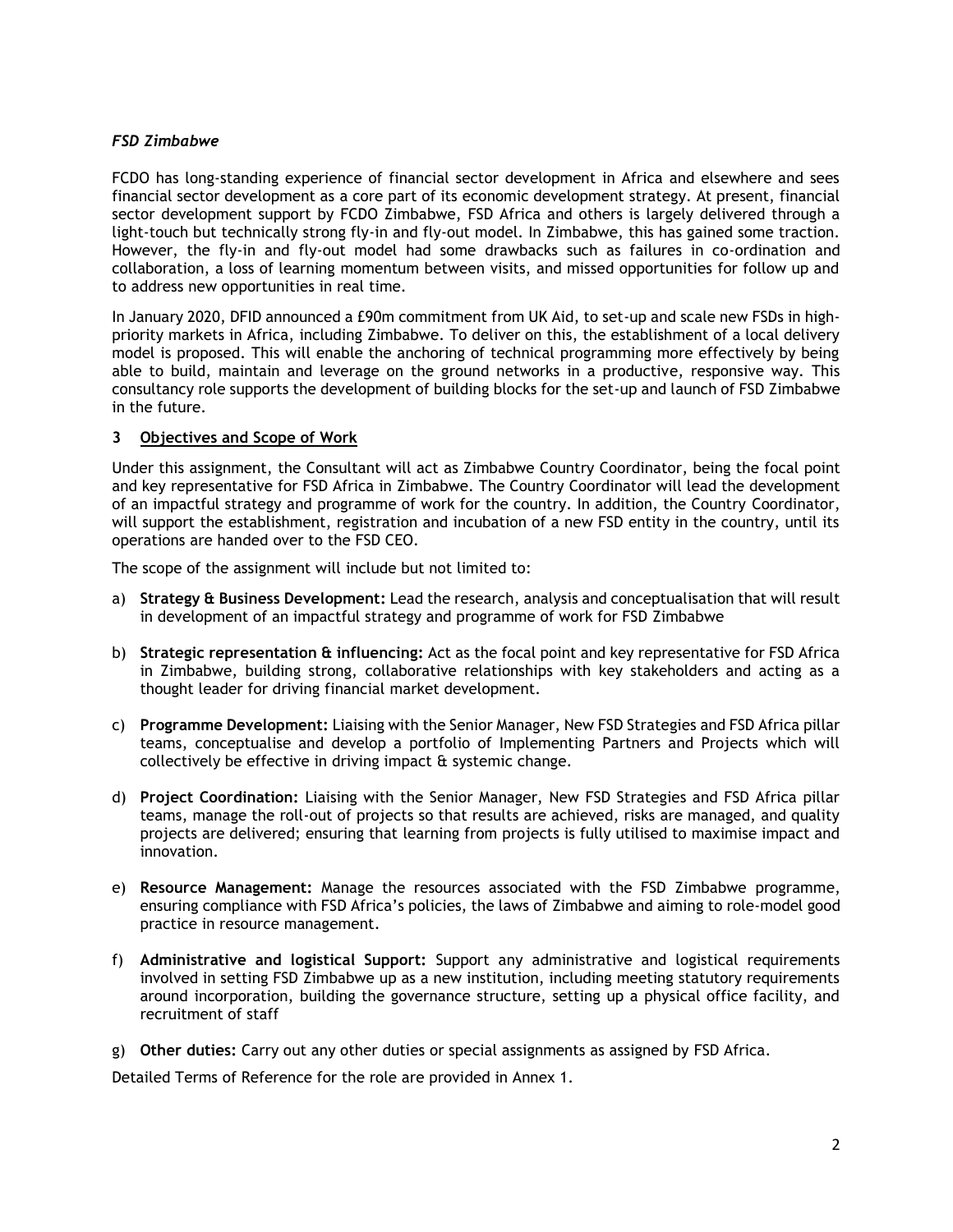## *FSD Zimbabwe*

FCDO has long-standing experience of financial sector development in Africa and elsewhere and sees financial sector development as a core part of its economic development strategy. At present, financial sector development support by FCDO Zimbabwe, FSD Africa and others is largely delivered through a light-touch but technically strong fly-in and fly-out model. In Zimbabwe, this has gained some traction. However, the fly-in and fly-out model had some drawbacks such as failures in co-ordination and collaboration, a loss of learning momentum between visits, and missed opportunities for follow up and to address new opportunities in real time.

In January 2020, DFID announced a £90m commitment from UK Aid, to set-up and scale new FSDs in highpriority markets in Africa, including Zimbabwe. To deliver on this, the establishment of a local delivery model is proposed. This will enable the anchoring of technical programming more effectively by being able to build, maintain and leverage on the ground networks in a productive, responsive way. This consultancy role supports the development of building blocks for the set-up and launch of FSD Zimbabwe in the future.

## **3 Objectives and Scope of Work**

Under this assignment, the Consultant will act as Zimbabwe Country Coordinator, being the focal point and key representative for FSD Africa in Zimbabwe. The Country Coordinator will lead the development of an impactful strategy and programme of work for the country. In addition, the Country Coordinator, will support the establishment, registration and incubation of a new FSD entity in the country, until its operations are handed over to the FSD CEO.

The scope of the assignment will include but not limited to:

- a) **Strategy & Business Development:** Lead the research, analysis and conceptualisation that will result in development of an impactful strategy and programme of work for FSD Zimbabwe
- b) **Strategic representation & influencing:** Act as the focal point and key representative for FSD Africa in Zimbabwe, building strong, collaborative relationships with key stakeholders and acting as a thought leader for driving financial market development.
- c) **Programme Development:** Liaising with the Senior Manager, New FSD Strategies and FSD Africa pillar teams, conceptualise and develop a portfolio of Implementing Partners and Projects which will collectively be effective in driving impact & systemic change.
- d) **Project Coordination:** Liaising with the Senior Manager, New FSD Strategies and FSD Africa pillar teams, manage the roll-out of projects so that results are achieved, risks are managed, and quality projects are delivered; ensuring that learning from projects is fully utilised to maximise impact and innovation.
- e) **Resource Management:** Manage the resources associated with the FSD Zimbabwe programme, ensuring compliance with FSD Africa's policies, the laws of Zimbabwe and aiming to role-model good practice in resource management.
- f) **Administrative and logistical Support:** Support any administrative and logistical requirements involved in setting FSD Zimbabwe up as a new institution, including meeting statutory requirements around incorporation, building the governance structure, setting up a physical office facility, and recruitment of staff
- g) **Other duties:** Carry out any other duties or special assignments as assigned by FSD Africa.

Detailed Terms of Reference for the role are provided in Annex 1.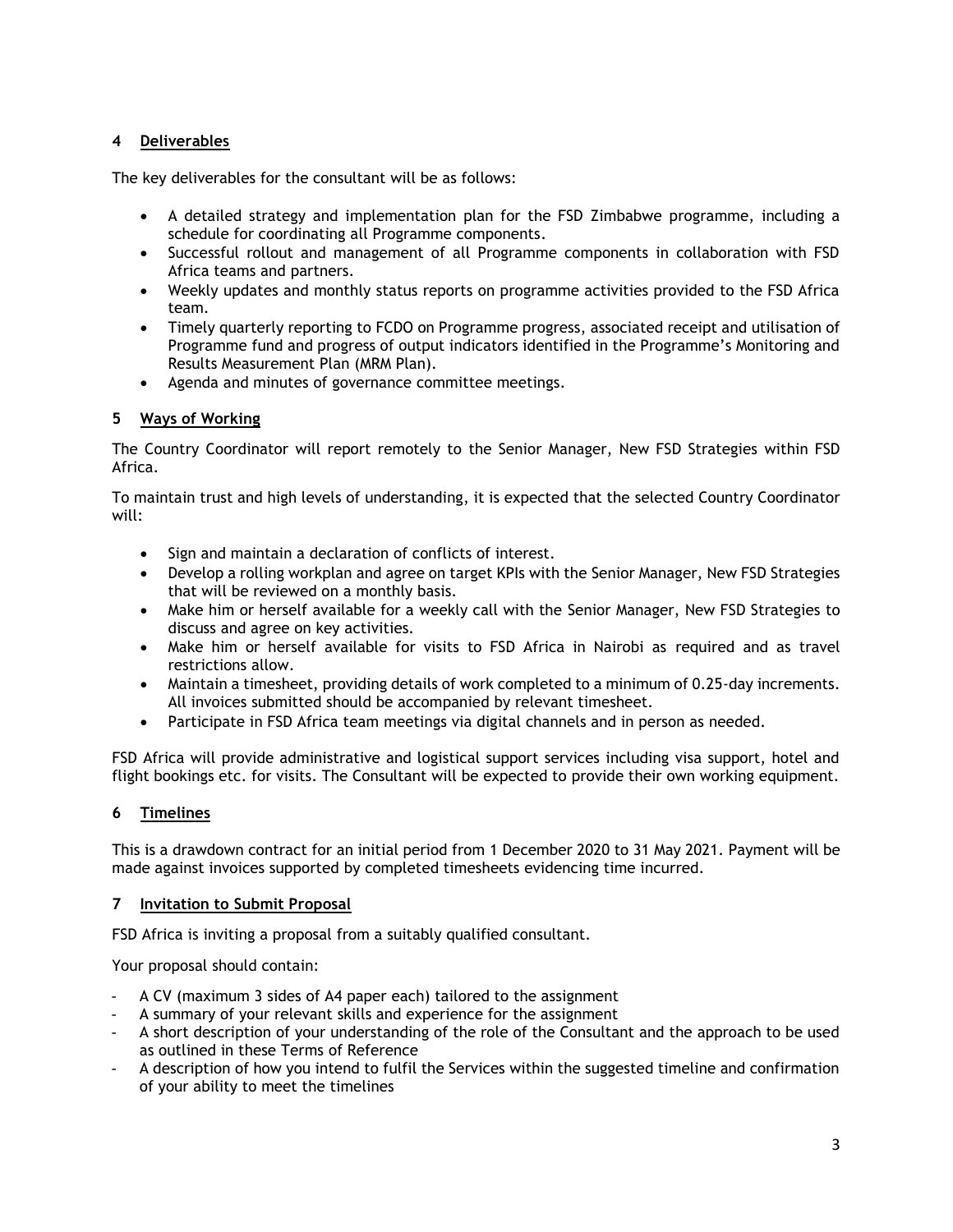# **4 Deliverables**

The key deliverables for the consultant will be as follows:

- A detailed strategy and implementation plan for the FSD Zimbabwe programme, including a schedule for coordinating all Programme components.
- Successful rollout and management of all Programme components in collaboration with FSD Africa teams and partners.
- Weekly updates and monthly status reports on programme activities provided to the FSD Africa team.
- Timely quarterly reporting to FCDO on Programme progress, associated receipt and utilisation of Programme fund and progress of output indicators identified in the Programme's Monitoring and Results Measurement Plan (MRM Plan).
- Agenda and minutes of governance committee meetings.

## **5 Ways of Working**

The Country Coordinator will report remotely to the Senior Manager, New FSD Strategies within FSD Africa.

To maintain trust and high levels of understanding, it is expected that the selected Country Coordinator will:

- Sign and maintain a declaration of conflicts of interest.
- Develop a rolling workplan and agree on target KPIs with the Senior Manager, New FSD Strategies that will be reviewed on a monthly basis.
- Make him or herself available for a weekly call with the Senior Manager, New FSD Strategies to discuss and agree on key activities.
- Make him or herself available for visits to FSD Africa in Nairobi as required and as travel restrictions allow.
- Maintain a timesheet, providing details of work completed to a minimum of 0.25-day increments. All invoices submitted should be accompanied by relevant timesheet.
- Participate in FSD Africa team meetings via digital channels and in person as needed.

FSD Africa will provide administrative and logistical support services including visa support, hotel and flight bookings etc. for visits. The Consultant will be expected to provide their own working equipment.

## **6 Timelines**

This is a drawdown contract for an initial period from 1 December 2020 to 31 May 2021. Payment will be made against invoices supported by completed timesheets evidencing time incurred.

## **7 Invitation to Submit Proposal**

FSD Africa is inviting a proposal from a suitably qualified consultant.

Your proposal should contain:

- A CV (maximum 3 sides of A4 paper each) tailored to the assignment
- A summary of your relevant skills and experience for the assignment
- A short description of your understanding of the role of the Consultant and the approach to be used as outlined in these Terms of Reference
- A description of how you intend to fulfil the Services within the suggested timeline and confirmation of your ability to meet the timelines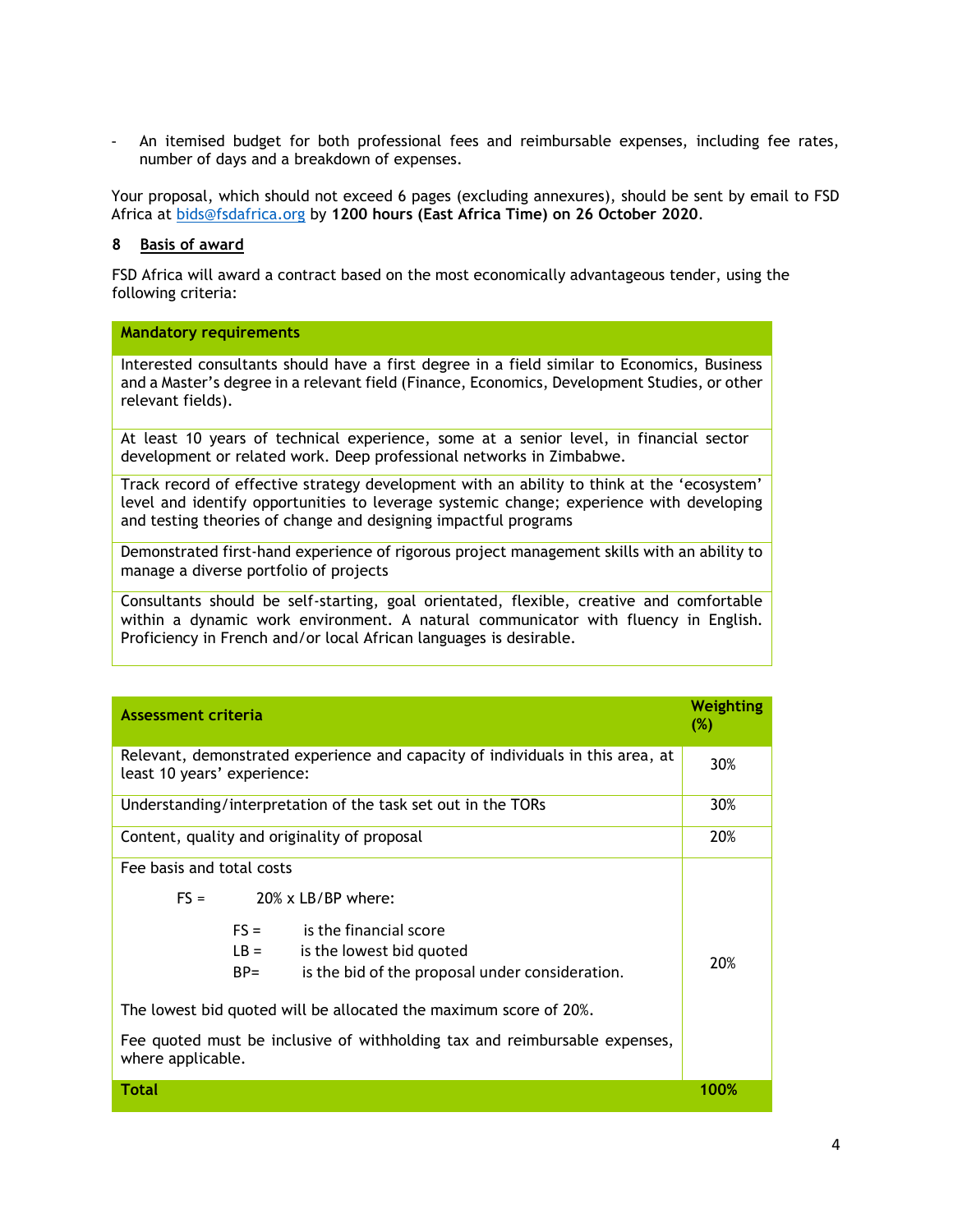An itemised budget for both professional fees and reimbursable expenses, including fee rates, number of days and a breakdown of expenses.

Your proposal, which should not exceed 6 pages (excluding annexures), should be sent by email to FSD Africa at [bids@fsdafrica.org](mailto:bids@fsdafrica.org) by **1200 hours (East Africa Time) on 26 October 2020**.

#### **8 Basis of award**

FSD Africa will award a contract based on the most economically advantageous tender, using the following criteria:

#### **Mandatory requirements**

Interested consultants should have a first degree in a field similar to Economics, Business and a Master's degree in a relevant field (Finance, Economics, Development Studies, or other relevant fields).

At least 10 years of technical experience, some at a senior level, in financial sector development or related work. Deep professional networks in Zimbabwe.

Track record of effective strategy development with an ability to think at the 'ecosystem' level and identify opportunities to leverage systemic change; experience with developing and testing theories of change and designing impactful programs

Demonstrated first-hand experience of rigorous project management skills with an ability to manage a diverse portfolio of projects

Consultants should be self-starting, goal orientated, flexible, creative and comfortable within a dynamic work environment. A natural communicator with fluency in English. Proficiency in French and/or local African languages is desirable.

| <b>Assessment criteria</b>                                                                                                                                                                                                                                                                                                                                                  | <b>Weighting</b><br>(%) |
|-----------------------------------------------------------------------------------------------------------------------------------------------------------------------------------------------------------------------------------------------------------------------------------------------------------------------------------------------------------------------------|-------------------------|
| Relevant, demonstrated experience and capacity of individuals in this area, at<br>least 10 years' experience:                                                                                                                                                                                                                                                               | 30%                     |
| Understanding/interpretation of the task set out in the TORs                                                                                                                                                                                                                                                                                                                | 30%                     |
| Content, quality and originality of proposal                                                                                                                                                                                                                                                                                                                                | 20%                     |
| Fee basis and total costs<br>$FS =$<br>$20\%$ x LB/BP where:<br>$FS =$<br>is the financial score<br>$LB =$<br>is the lowest bid quoted<br>is the bid of the proposal under consideration.<br>$BP =$<br>The lowest bid quoted will be allocated the maximum score of 20%.<br>Fee quoted must be inclusive of withholding tax and reimbursable expenses,<br>where applicable. | 20%                     |
| <b>Total</b>                                                                                                                                                                                                                                                                                                                                                                | 100%                    |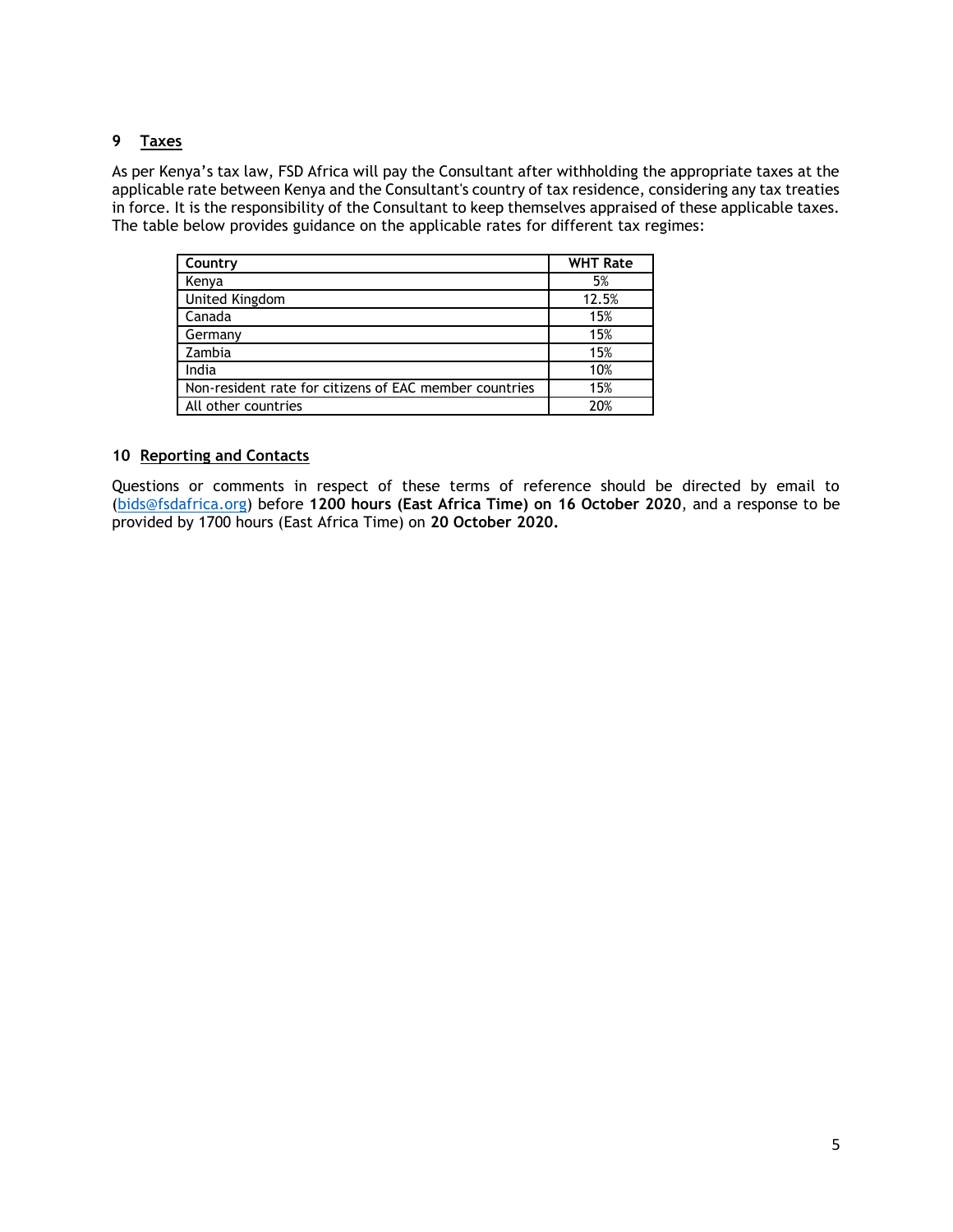# **9 Taxes**

As per Kenya's tax law, FSD Africa will pay the Consultant after withholding the appropriate taxes at the applicable rate between Kenya and the Consultant's country of tax residence, considering any tax treaties in force. It is the responsibility of the Consultant to keep themselves appraised of these applicable taxes. The table below provides guidance on the applicable rates for different tax regimes:

| Country                                                | <b>WHT Rate</b> |
|--------------------------------------------------------|-----------------|
| Kenya                                                  | 5%              |
| United Kingdom                                         | 12.5%           |
| Canada                                                 | 15%             |
| Germany                                                | 15%             |
| Zambia                                                 | 15%             |
| India                                                  | 10%             |
| Non-resident rate for citizens of EAC member countries | 15%             |
| All other countries                                    | 20%             |

## **10 Reporting and Contacts**

Questions or comments in respect of these terms of reference should be directed by email to [\(bids@fsdafrica.org\)](mailto:bids@fsdafrica.org) before **1200 hours (East Africa Time) on 16 October 2020**, and a response to be provided by 1700 hours (East Africa Time) on **20 October 2020.**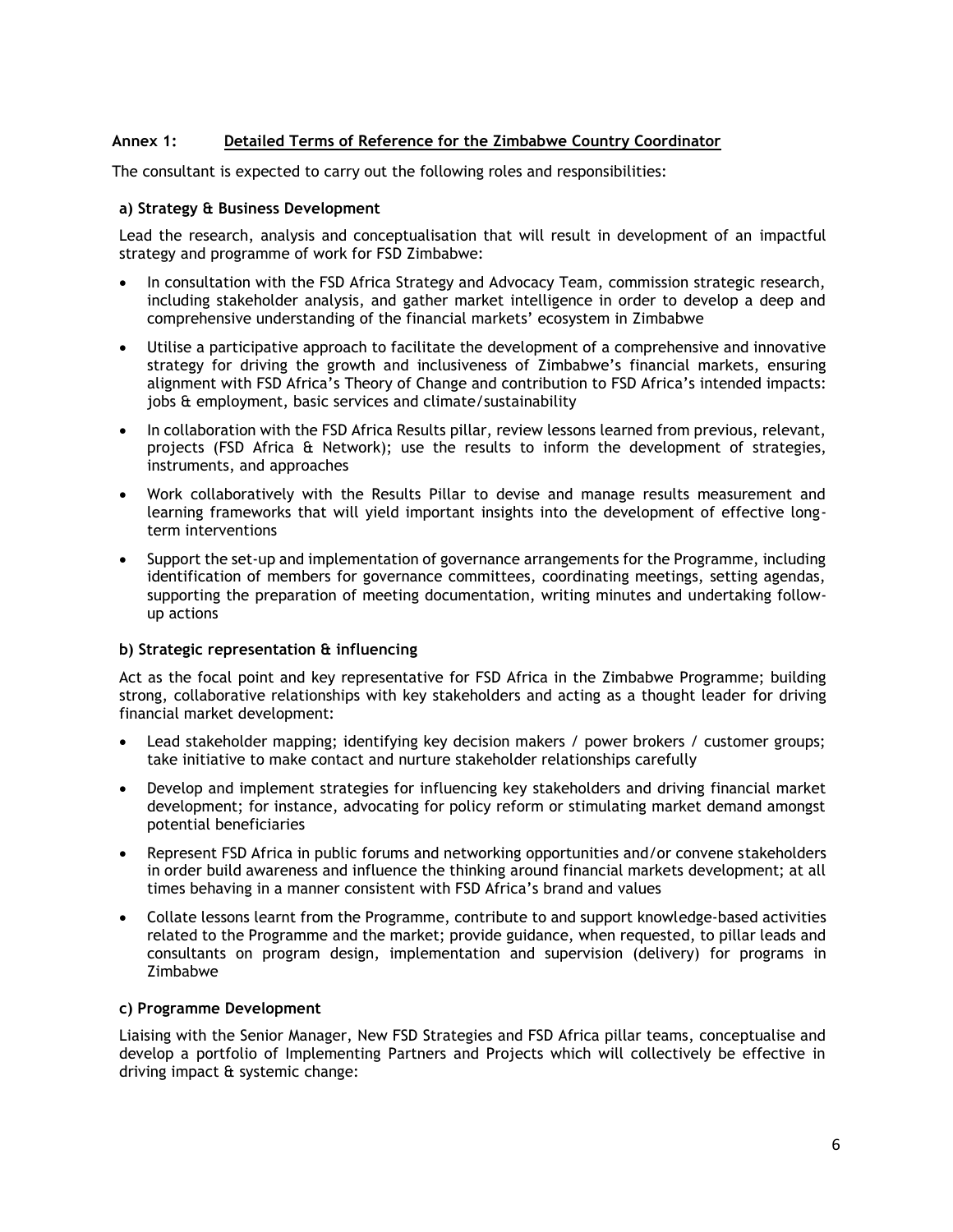# **Annex 1: Detailed Terms of Reference for the Zimbabwe Country Coordinator**

The consultant is expected to carry out the following roles and responsibilities:

## **a) Strategy & Business Development**

Lead the research, analysis and conceptualisation that will result in development of an impactful strategy and programme of work for FSD Zimbabwe:

- In consultation with the FSD Africa Strategy and Advocacy Team, commission strategic research, including stakeholder analysis, and gather market intelligence in order to develop a deep and comprehensive understanding of the financial markets' ecosystem in Zimbabwe
- Utilise a participative approach to facilitate the development of a comprehensive and innovative strategy for driving the growth and inclusiveness of Zimbabwe's financial markets, ensuring alignment with FSD Africa's Theory of Change and contribution to FSD Africa's intended impacts: jobs & employment, basic services and climate/sustainability
- In collaboration with the FSD Africa Results pillar, review lessons learned from previous, relevant, projects (FSD Africa & Network); use the results to inform the development of strategies, instruments, and approaches
- Work collaboratively with the Results Pillar to devise and manage results measurement and learning frameworks that will yield important insights into the development of effective longterm interventions
- Support the set-up and implementation of governance arrangements for the Programme, including identification of members for governance committees, coordinating meetings, setting agendas, supporting the preparation of meeting documentation, writing minutes and undertaking followup actions

## **b) Strategic representation & influencing**

Act as the focal point and key representative for FSD Africa in the Zimbabwe Programme; building strong, collaborative relationships with key stakeholders and acting as a thought leader for driving financial market development:

- Lead stakeholder mapping; identifying key decision makers / power brokers / customer groups; take initiative to make contact and nurture stakeholder relationships carefully
- Develop and implement strategies for influencing key stakeholders and driving financial market development; for instance, advocating for policy reform or stimulating market demand amongst potential beneficiaries
- Represent FSD Africa in public forums and networking opportunities and/or convene stakeholders in order build awareness and influence the thinking around financial markets development; at all times behaving in a manner consistent with FSD Africa's brand and values
- Collate lessons learnt from the Programme, contribute to and support knowledge-based activities related to the Programme and the market; provide guidance, when requested, to pillar leads and consultants on program design, implementation and supervision (delivery) for programs in Zimbabwe

#### **c) Programme Development**

Liaising with the Senior Manager, New FSD Strategies and FSD Africa pillar teams, conceptualise and develop a portfolio of Implementing Partners and Projects which will collectively be effective in driving impact & systemic change: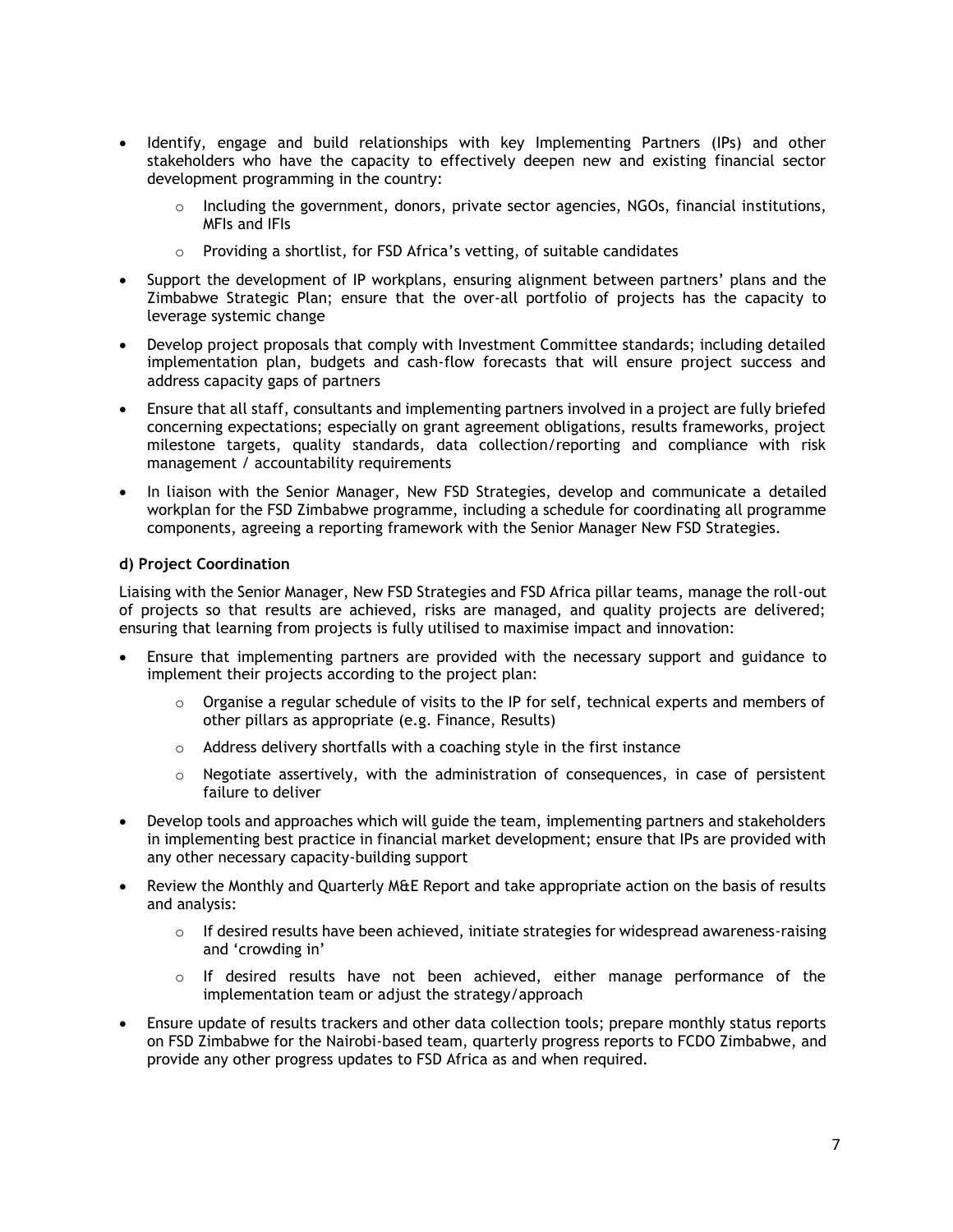- Identify, engage and build relationships with key Implementing Partners (IPs) and other stakeholders who have the capacity to effectively deepen new and existing financial sector development programming in the country:
	- Including the government, donors, private sector agencies, NGOs, financial institutions, MFIs and IFIs
	- $\circ$  Providing a shortlist, for FSD Africa's vetting, of suitable candidates
- Support the development of IP workplans, ensuring alignment between partners' plans and the Zimbabwe Strategic Plan; ensure that the over-all portfolio of projects has the capacity to leverage systemic change
- Develop project proposals that comply with Investment Committee standards; including detailed implementation plan, budgets and cash-flow forecasts that will ensure project success and address capacity gaps of partners
- Ensure that all staff, consultants and implementing partners involved in a project are fully briefed concerning expectations; especially on grant agreement obligations, results frameworks, project milestone targets, quality standards, data collection/reporting and compliance with risk management / accountability requirements
- In liaison with the Senior Manager, New FSD Strategies, develop and communicate a detailed workplan for the FSD Zimbabwe programme, including a schedule for coordinating all programme components, agreeing a reporting framework with the Senior Manager New FSD Strategies.

## **d) Project Coordination**

Liaising with the Senior Manager, New FSD Strategies and FSD Africa pillar teams, manage the roll-out of projects so that results are achieved, risks are managed, and quality projects are delivered; ensuring that learning from projects is fully utilised to maximise impact and innovation:

- Ensure that implementing partners are provided with the necessary support and guidance to implement their projects according to the project plan:
	- o Organise a regular schedule of visits to the IP for self, technical experts and members of other pillars as appropriate (e.g. Finance, Results)
	- o Address delivery shortfalls with a coaching style in the first instance
	- $\circ$  Negotiate assertively, with the administration of consequences, in case of persistent failure to deliver
- Develop tools and approaches which will guide the team, implementing partners and stakeholders in implementing best practice in financial market development; ensure that IPs are provided with any other necessary capacity-building support
- Review the Monthly and Quarterly M&E Report and take appropriate action on the basis of results and analysis:
	- If desired results have been achieved, initiate strategies for widespread awareness-raising and 'crowding in'
	- $\circ$  If desired results have not been achieved, either manage performance of the implementation team or adjust the strategy/approach
- Ensure update of results trackers and other data collection tools; prepare monthly status reports on FSD Zimbabwe for the Nairobi-based team, quarterly progress reports to FCDO Zimbabwe, and provide any other progress updates to FSD Africa as and when required.